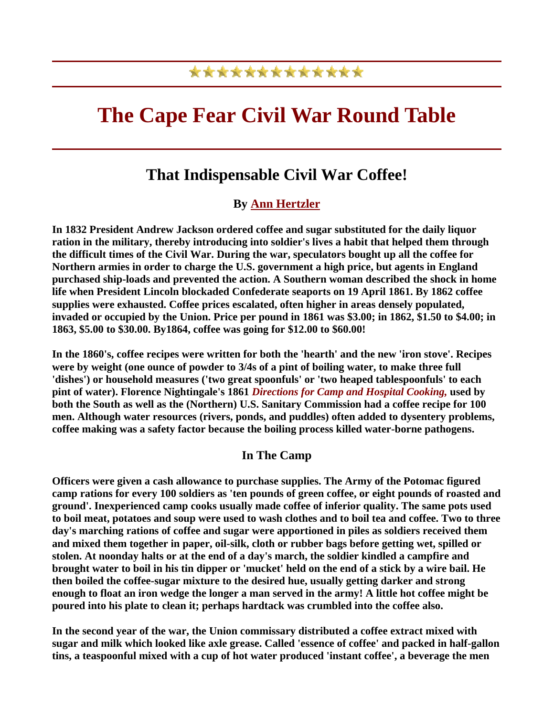## \*\*\*\*\*\*\*\*\*\*\*\*\*

# **The Cape Fear Civil War Round Table**

## **That Indispensable Civil War Coffee!**

### **By [Ann Hertzler](http://spec.lib.vt.edu/culinary/Hertzler.html)**

**In 1832 President Andrew Jackson ordered coffee and sugar substituted for the daily liquor ration in the military, thereby introducing into soldier's lives a habit that helped them through the difficult times of the Civil War. During the war, speculators bought up all the coffee for Northern armies in order to charge the U.S. government a high price, but agents in England purchased ship-loads and prevented the action. A Southern woman described the shock in home life when President Lincoln blockaded Confederate seaports on 19 April 1861. By 1862 coffee supplies were exhausted. Coffee prices escalated, often higher in areas densely populated, invaded or occupied by the Union. Price per pound in 1861 was \$3.00; in 1862, \$1.50 to \$4.00; in 1863, \$5.00 to \$30.00. By1864, coffee was going for \$12.00 to \$60.00!**

**In the 1860's, coffee recipes were written for both the 'hearth' and the new 'iron stove'. Recipes were by weight (one ounce of powder to 3/4s of a pint of boiling water, to make three full 'dishes') or household measures ('two great spoonfuls' or 'two heaped tablespoonfuls' to each pint of water). Florence Nightingale's 1861** *Directions for Camp and Hospital Cooking,* **used by both the South as well as the (Northern) U.S. Sanitary Commission had a coffee recipe for 100 men. Although water resources (rivers, ponds, and puddles) often added to dysentery problems, coffee making was a safety factor because the boiling process killed water-borne pathogens.**

#### **In The Camp**

**Officers were given a cash allowance to purchase supplies. The Army of the Potomac figured camp rations for every 100 soldiers as 'ten pounds of green coffee, or eight pounds of roasted and ground'. Inexperienced camp cooks usually made coffee of inferior quality. The same pots used to boil meat, potatoes and soup were used to wash clothes and to boil tea and coffee. Two to three day's marching rations of coffee and sugar were apportioned in piles as soldiers received them and mixed them together in paper, oil-silk, cloth or rubber bags before getting wet, spilled or stolen. At noonday halts or at the end of a day's march, the soldier kindled a campfire and brought water to boil in his tin dipper or 'mucket' held on the end of a stick by a wire bail. He then boiled the coffee-sugar mixture to the desired hue, usually getting darker and strong enough to float an iron wedge the longer a man served in the army! A little hot coffee might be poured into his plate to clean it; perhaps hardtack was crumbled into the coffee also.**

**In the second year of the war, the Union commissary distributed a coffee extract mixed with sugar and milk which looked like axle grease. Called 'essence of coffee' and packed in half-gallon tins, a teaspoonful mixed with a cup of hot water produced 'instant coffee', a beverage the men**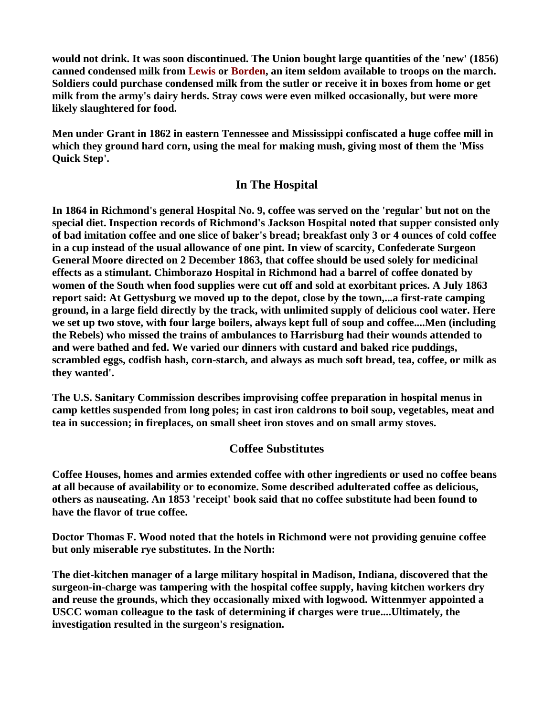**would not drink. It was soon discontinued. The Union bought large quantities of the 'new' (1856) canned condensed milk from Lewis or Borden, an item seldom available to troops on the march. Soldiers could purchase condensed milk from the sutler or receive it in boxes from home or get milk from the army's dairy herds. Stray cows were even milked occasionally, but were more likely slaughtered for food.**

**Men under Grant in 1862 in eastern Tennessee and Mississippi confiscated a huge coffee mill in which they ground hard corn, using the meal for making mush, giving most of them the 'Miss Quick Step'.**

#### **In The Hospital**

**In 1864 in Richmond's general Hospital No. 9, coffee was served on the 'regular' but not on the special diet. Inspection records of Richmond's Jackson Hospital noted that supper consisted only of bad imitation coffee and one slice of baker's bread; breakfast only 3 or 4 ounces of cold coffee in a cup instead of the usual allowance of one pint. In view of scarcity, Confederate Surgeon General Moore directed on 2 December 1863, that coffee should be used solely for medicinal effects as a stimulant. Chimborazo Hospital in Richmond had a barrel of coffee donated by women of the South when food supplies were cut off and sold at exorbitant prices. A July 1863 report said: At Gettysburg we moved up to the depot, close by the town,...a first-rate camping ground, in a large field directly by the track, with unlimited supply of delicious cool water. Here we set up two stove, with four large boilers, always kept full of soup and coffee....Men (including the Rebels) who missed the trains of ambulances to Harrisburg had their wounds attended to and were bathed and fed. We varied our dinners with custard and baked rice puddings, scrambled eggs, codfish hash, corn-starch, and always as much soft bread, tea, coffee, or milk as they wanted'.**

**The U.S. Sanitary Commission describes improvising coffee preparation in hospital menus in camp kettles suspended from long poles; in cast iron caldrons to boil soup, vegetables, meat and tea in succession; in fireplaces, on small sheet iron stoves and on small army stoves.**

#### **Coffee Substitutes**

**Coffee Houses, homes and armies extended coffee with other ingredients or used no coffee beans at all because of availability or to economize. Some described adulterated coffee as delicious, others as nauseating. An 1853 'receipt' book said that no coffee substitute had been found to have the flavor of true coffee.**

**Doctor Thomas F. Wood noted that the hotels in Richmond were not providing genuine coffee but only miserable rye substitutes. In the North:** 

**The diet-kitchen manager of a large military hospital in Madison, Indiana, discovered that the surgeon-in-charge was tampering with the hospital coffee supply, having kitchen workers dry and reuse the grounds, which they occasionally mixed with logwood. Wittenmyer appointed a USCC woman colleague to the task of determining if charges were true....Ultimately, the investigation resulted in the surgeon's resignation.**